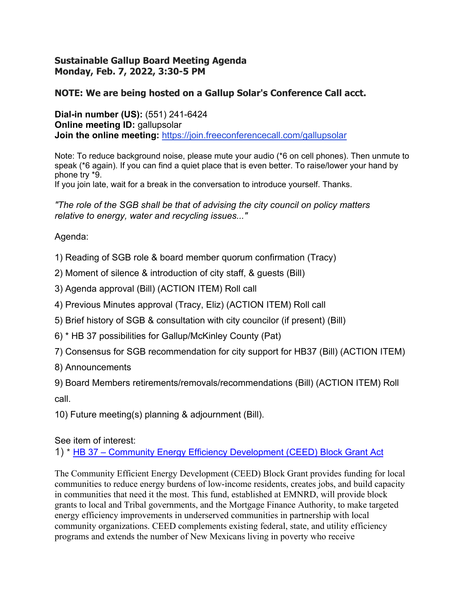## **Sustainable Gallup Board Meeting Agenda Monday, Feb. 7, 2022, 3:30-5 PM**

## **NOTE: We are being hosted on a Gallup Solar's Conference Call acct.**

**Dial-in number (US):** (551) 241-6424 **Online meeting ID:** gallupsolar **Join the online meeting:** https://join.freeconferencecall.com/gallupsolar

Note: To reduce background noise, please mute your audio (\*6 on cell phones). Then unmute to speak (\*6 again). If you can find a quiet place that is even better. To raise/lower your hand by phone try \*9.

If you join late, wait for a break in the conversation to introduce yourself. Thanks.

*"The role of the SGB shall be that of advising the city council on policy matters relative to energy, water and recycling issues..."* 

Agenda:

- 1) Reading of SGB role & board member quorum confirmation (Tracy)
- 2) Moment of silence & introduction of city staff, & guests (Bill)
- 3) Agenda approval (Bill) (ACTION ITEM) Roll call
- 4) Previous Minutes approval (Tracy, Eliz) (ACTION ITEM) Roll call
- 5) Brief history of SGB & consultation with city councilor (if present) (Bill)
- 6) \* HB 37 possibilities for Gallup/McKinley County (Pat)
- 7) Consensus for SGB recommendation for city support for HB37 (Bill) (ACTION ITEM)
- 8) Announcements

9) Board Members retirements/removals/recommendations (Bill) (ACTION ITEM) Roll call.

10) Future meeting(s) planning & adjournment (Bill).

See item of interest:

1) \* HB 37 – Community Energy Efficiency Development (CEED) Block Grant Act

The Community Efficient Energy Development (CEED) Block Grant provides funding for local communities to reduce energy burdens of low-income residents, creates jobs, and build capacity in communities that need it the most. This fund, established at EMNRD, will provide block grants to local and Tribal governments, and the Mortgage Finance Authority, to make targeted energy efficiency improvements in underserved communities in partnership with local community organizations. CEED complements existing federal, state, and utility efficiency programs and extends the number of New Mexicans living in poverty who receive